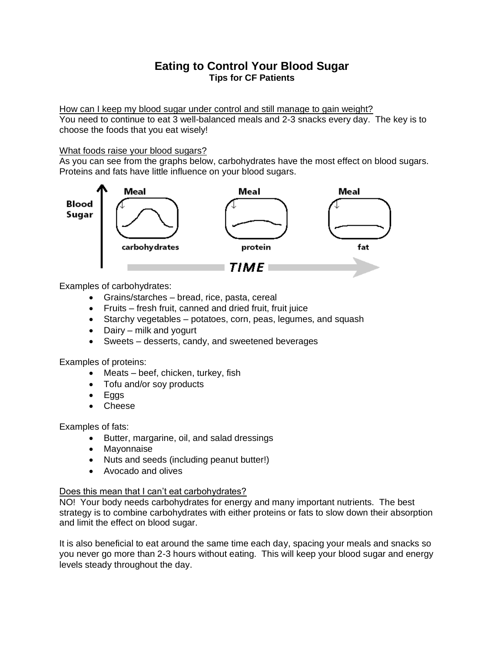## **Eating to Control Your Blood Sugar Tips for CF Patients**

How can I keep my blood sugar under control and still manage to gain weight?

You need to continue to eat 3 well-balanced meals and 2-3 snacks every day. The key is to choose the foods that you eat wisely!

## What foods raise your blood sugars?

As you can see from the graphs below, carbohydrates have the most effect on blood sugars. Proteins and fats have little influence on your blood sugars.



Examples of carbohydrates:

- Grains/starches bread, rice, pasta, cereal
- Fruits fresh fruit, canned and dried fruit, fruit juice
- Starchy vegetables potatoes, corn, peas, legumes, and squash
- Dairy milk and yogurt
- Sweets desserts, candy, and sweetened beverages

Examples of proteins:

- Meats beef, chicken, turkey, fish
- Tofu and/or soy products
- Eggs
- Cheese

Examples of fats:

- Butter, margarine, oil, and salad dressings
- Mayonnaise
- Nuts and seeds (including peanut butter!)
- Avocado and olives

## Does this mean that I can't eat carbohydrates?

NO! Your body needs carbohydrates for energy and many important nutrients. The best strategy is to combine carbohydrates with either proteins or fats to slow down their absorption and limit the effect on blood sugar.

It is also beneficial to eat around the same time each day, spacing your meals and snacks so you never go more than 2-3 hours without eating. This will keep your blood sugar and energy levels steady throughout the day.